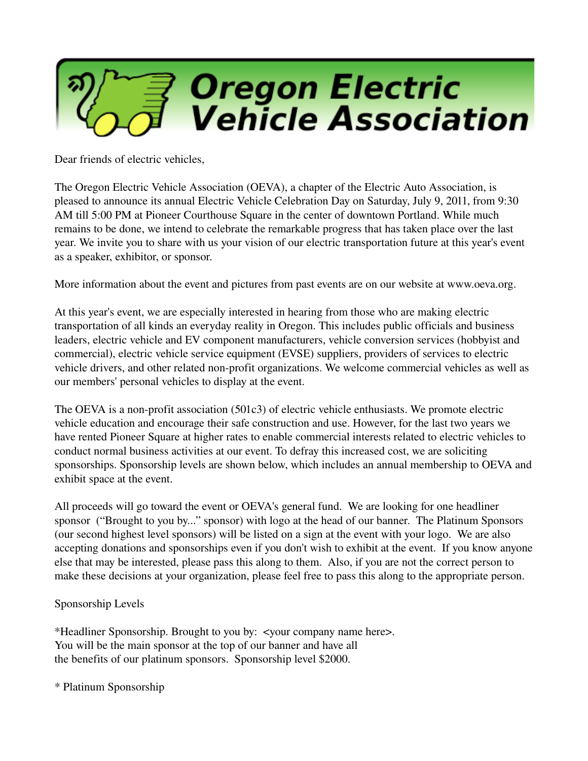

Dear friends of electric vehicles,

The Oregon Electric Vehicle Association (OEVA), a chapter of the Electric Auto Association, is pleased to announce its annual Electric Vehicle Celebration Day on Saturday, July 9, 2011, from 9:30 AM till 5:00 PM at Pioneer Courthouse Square in the center of downtown Portland. While much remains to be done, we intend to celebrate the remarkable progress that has taken place over the last year. We invite you to share with us your vision of our electric transportation future at this year's event as a speaker, exhibitor, or sponsor.

More information about the event and pictures from past events are on our website at www.oeva.org.

At this year's event, we are especially interested in hearing from those who are making electric transportation of all kinds an everyday reality in Oregon. This includes public officials and business leaders, electric vehicle and EV component manufacturers, vehicle conversion services (hobbyist and commercial), electric vehicle service equipment (EVSE) suppliers, providers of services to electric vehicle drivers, and other related non-profit organizations. We welcome commercial vehicles as well as our members' personal vehicles to display at the event.

The OEVA is a non-profit association  $(501c3)$  of electric vehicle enthusiasts. We promote electric vehicle education and encourage their safe construction and use. However, for the last two years we have rented Pioneer Square at higher rates to enable commercial interests related to electric vehicles to conduct normal business activities at our event. To defray this increased cost, we are soliciting sponsorships. Sponsorship levels are shown below, which includes an annual membership to OEVA and exhibit space at the event.

All proceeds will go toward the event or OEVA's general fund. We are looking for one headliner sponsor ("Brought to you by..." sponsor) with logo at the head of our banner. The Platinum Sponsors (our second highest level sponsors) will be listed on a sign at the event with your logo. We are also accepting donations and sponsorships even if you don't wish to exhibit at the event. If you know anyone else that may be interested, please pass this along to them. Also, if you are not the correct person to make these decisions at your organization, please feel free to pass this along to the appropriate person.

## Sponsorship Levels

\*Headliner Sponsorship. Brought to you by: <your company name here>. You will be the main sponsor at the top of our banner and have all the benefits of our platinum sponsors. Sponsorship level \$2000.

\* Platinum Sponsorship